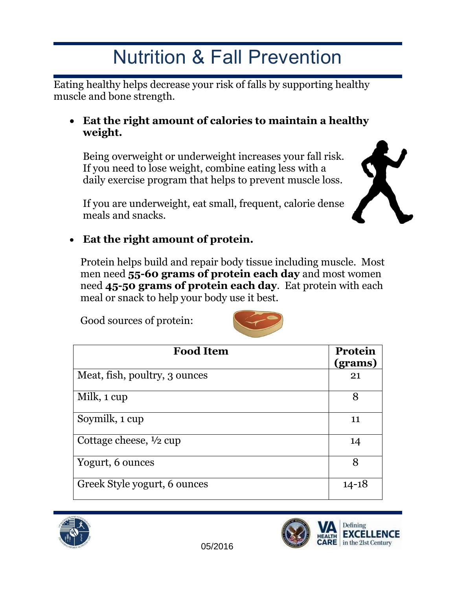# Nutrition & Fall Prevention

Eating healthy helps decrease your risk of falls by supporting healthy muscle and bone strength.

#### **Eat the right amount of calories to maintain a healthy weight.**

Being overweight or underweight increases your fall risk. If you need to lose weight, combine eating less with a daily exercise program that helps to prevent muscle loss.

If you are underweight, eat small, frequent, calorie dense meals and snacks.



## **Eat the right amount of protein.**

Protein helps build and repair body tissue including muscle. Most men need **55-60 grams of protein each day** and most women need **45-50 grams of protein each day**. Eat protein with each meal or snack to help your body use it best.

Good sources of protein:



| <b>Food Item</b>                  | <b>Protein</b><br>(grams) |
|-----------------------------------|---------------------------|
| Meat, fish, poultry, 3 ounces     | 21                        |
| Milk, 1 cup                       | 8                         |
| Soymilk, 1 cup                    | 11                        |
| Cottage cheese, $\frac{1}{2}$ cup | 14                        |
| Yogurt, 6 ounces                  | 8                         |
| Greek Style yogurt, 6 ounces      | $14 - 18$                 |



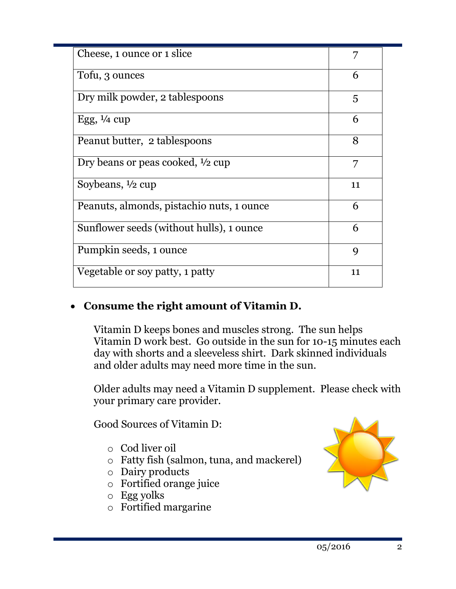| Cheese, 1 ounce or 1 slice                |    |
|-------------------------------------------|----|
| Tofu, 3 ounces                            | 6  |
| Dry milk powder, 2 tablespoons            | 5  |
| Egg, $\frac{1}{4}$ cup                    | 6  |
| Peanut butter, 2 tablespoons              | 8  |
| Dry beans or peas cooked, 1/2 cup         | 7  |
| Soybeans, $\frac{1}{2}$ cup               | 11 |
| Peanuts, almonds, pistachio nuts, 1 ounce | 6  |
| Sunflower seeds (without hulls), 1 ounce  | 6  |
| Pumpkin seeds, 1 ounce                    | 9  |
| Vegetable or soy patty, 1 patty           | 11 |

## **Consume the right amount of Vitamin D.**

Vitamin D keeps bones and muscles strong. The sun helps Vitamin D work best. Go outside in the sun for 10-15 minutes each day with shorts and a sleeveless shirt. Dark skinned individuals and older adults may need more time in the sun.

Older adults may need a Vitamin D supplement. Please check with your primary care provider.

Good Sources of Vitamin D:

- o Cod liver oil
- o Fatty fish (salmon, tuna, and mackerel)
- o Dairy products
- o Fortified orange juice
- o Egg yolks
- o Fortified margarine